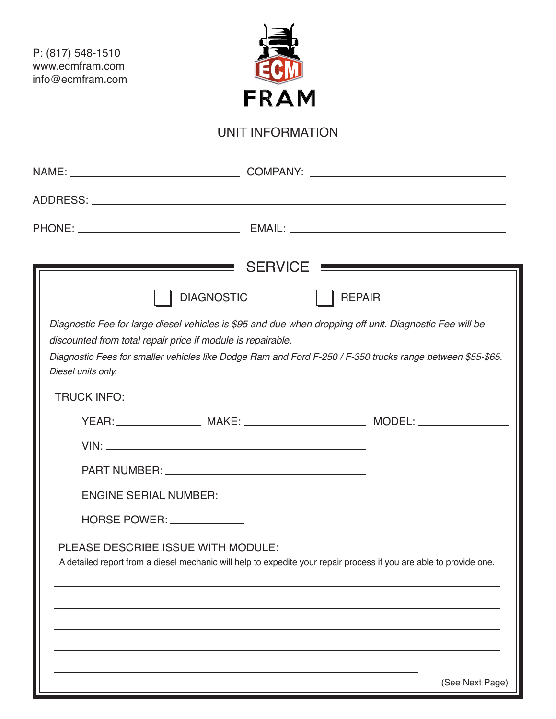P: (817) 548-1510 www.ecmfram.com info@ecmfram.com



## UNIT INFORMATION

| Diagnostic Fee for large diesel vehicles is \$95 and due when dropping off unit. Diagnostic Fee will be<br>discounted from total repair price if module is repairable.<br>Diagnostic Fees for smaller vehicles like Dodge Ram and Ford F-250 / F-350 trucks range between \$55-\$65.<br>Diesel units only. | <b>DIAGNOSTIC</b> | <b>REPAIR</b>                                                                                                      |
|------------------------------------------------------------------------------------------------------------------------------------------------------------------------------------------------------------------------------------------------------------------------------------------------------------|-------------------|--------------------------------------------------------------------------------------------------------------------|
| <b>TRUCK INFO:</b>                                                                                                                                                                                                                                                                                         |                   |                                                                                                                    |
| HORSE POWER: _____________                                                                                                                                                                                                                                                                                 |                   |                                                                                                                    |
| PLEASE DESCRIBE ISSUE WITH MODULE:                                                                                                                                                                                                                                                                         |                   | A detailed report from a diesel mechanic will help to expedite your repair process if you are able to provide one. |
|                                                                                                                                                                                                                                                                                                            |                   | (See Next Page)                                                                                                    |